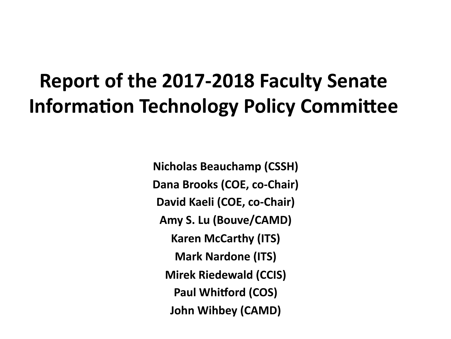#### **Report of the 2017-2018 Faculty Senate Information Technology Policy Committee**

**Nicholas Beauchamp (CSSH) Dana Brooks (COE, co-Chair)** David Kaeli (COE, co-Chair) Amy S. Lu (Bouve/CAMD) **Karen McCarthy (ITS) Mark Nardone (ITS) Mirek Riedewald (CCIS) Paul Whitford (COS) John Wihbey (CAMD)**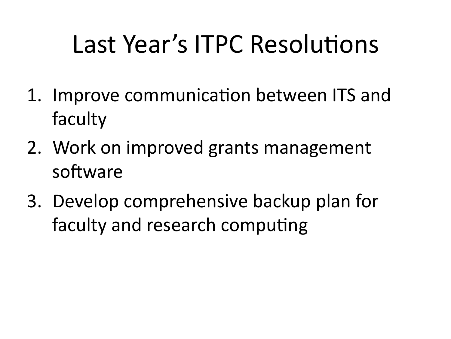# Last Year's ITPC Resolutions

- 1. Improve communication between ITS and faculty
- 2. Work on improved grants management software
- 3. Develop comprehensive backup plan for faculty and research computing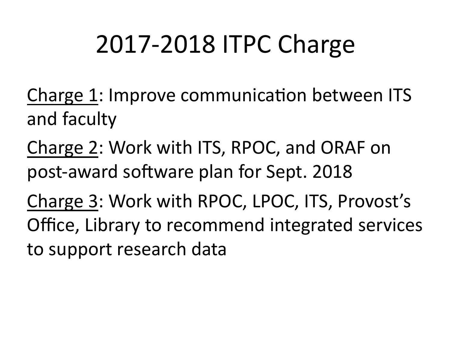## 2017-2018 ITPC Charge

Charge 1: Improve communication between ITS and faculty

Charge 2: Work with ITS, RPOC, and ORAF on post-award software plan for Sept. 2018

Charge 3: Work with RPOC, LPOC, ITS, Provost's Office, Library to recommend integrated services to support research data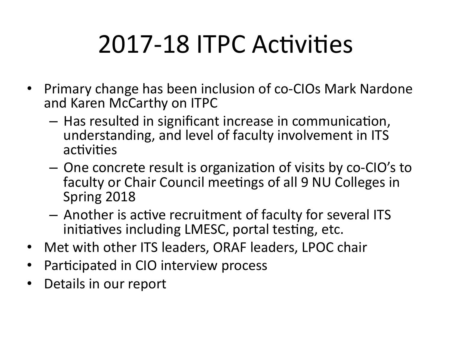# 2017-18 ITPC Activities

- Primary change has been inclusion of co-CIOs Mark Nardone and Karen McCarthy on ITPC
	- $-$  Has resulted in significant increase in communication, understanding, and level of faculty involvement in ITS activities
	- One concrete result is organization of visits by co-CIO's to faculty or Chair Council meetings of all 9 NU Colleges in Spring 2018
	- $-$  Another is active recruitment of faculty for several ITS initiatives including LMESC, portal testing, etc.
- Met with other ITS leaders, ORAF leaders, LPOC chair
- Participated in CIO interview process
- Details in our report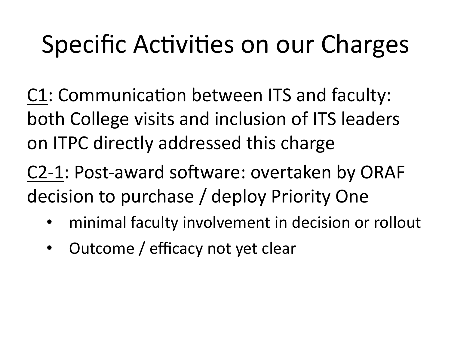## Specific Activities on our Charges

C1: Communication between ITS and faculty: both College visits and inclusion of ITS leaders on ITPC directly addressed this charge

C2-1: Post-award software: overtaken by ORAF decision to purchase / deploy Priority One

- minimal faculty involvement in decision or rollout
- Outcome / efficacy not yet clear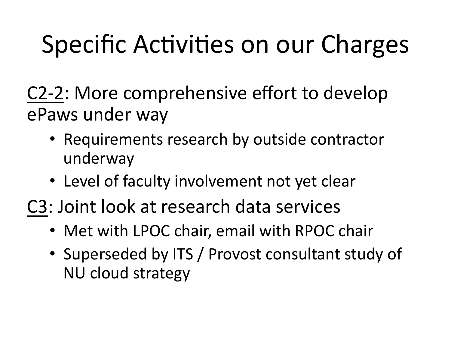# Specific Activities on our Charges

C2-2: More comprehensive effort to develop ePaws under way

- Requirements research by outside contractor underway
- Level of faculty involvement not yet clear
- C3: Joint look at research data services
	- Met with LPOC chair, email with RPOC chair
	- Superseded by ITS / Provost consultant study of NU cloud strategy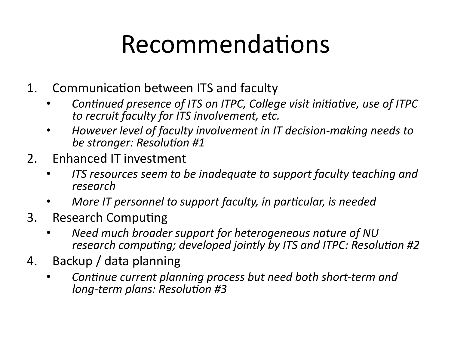## Recommendations

- 1. Communication between ITS and faculty
	- Continued presence of ITS on ITPC, College visit initiative, use of ITPC *to recruit faculty for ITS involvement, etc.*
	- However level of faculty involvement in IT decision-making needs to be stronger: Resolution #1
- 2. Enhanced IT investment
	- *ITS resources seem to be inadequate to support faculty teaching and research*
	- *More IT personnel to support faculty, in particular, is needed*
- 3. Research Computing
	- *Need much broader support for heterogeneous nature of NU research computing; developed jointly by ITS and ITPC: Resolution #2*
- 4. Backup / data planning
	- Continue current planning process but need both short-term and *long-term plans: Resolution #3*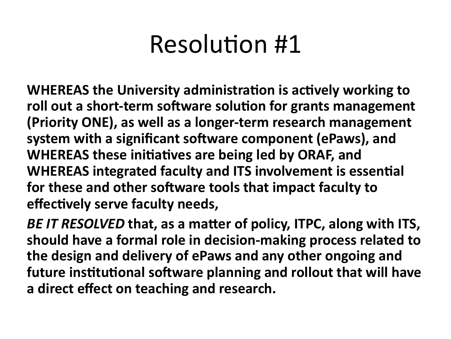## Resolution #1

**WHEREAS the University administration is actively working to** roll out a short-term software solution for grants management **(Priority ONE), as well as a longer-term research management** system with a significant software component (ePaws), and **WHEREAS these initiatives are being led by ORAF, and WHEREAS integrated faculty and ITS involvement is essential** for these and other software tools that impact faculty to **effectively serve faculty needs,** 

*BE IT RESOLVED* that, as a matter of policy, ITPC, along with ITS, should have a formal role in decision-making process related to the design and delivery of ePaws and any other ongoing and **future institutional software planning and rollout that will have** a direct effect on teaching and research.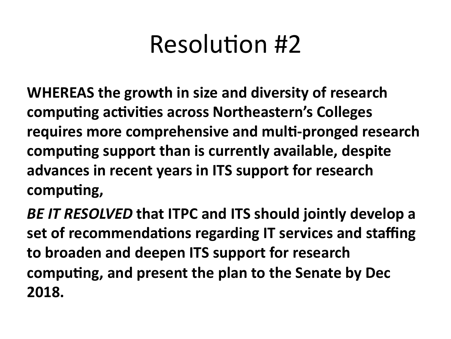## Resolution #2

**WHEREAS the growth in size and diversity of research** computing activities across Northeastern's Colleges requires more comprehensive and multi-pronged research computing support than is currently available, despite advances in recent years in ITS support for research computing,

*BE IT RESOLVED* that ITPC and ITS should jointly develop a set of recommendations regarding IT services and staffing to broaden and deepen ITS support for research computing, and present the plan to the Senate by Dec **2018.**